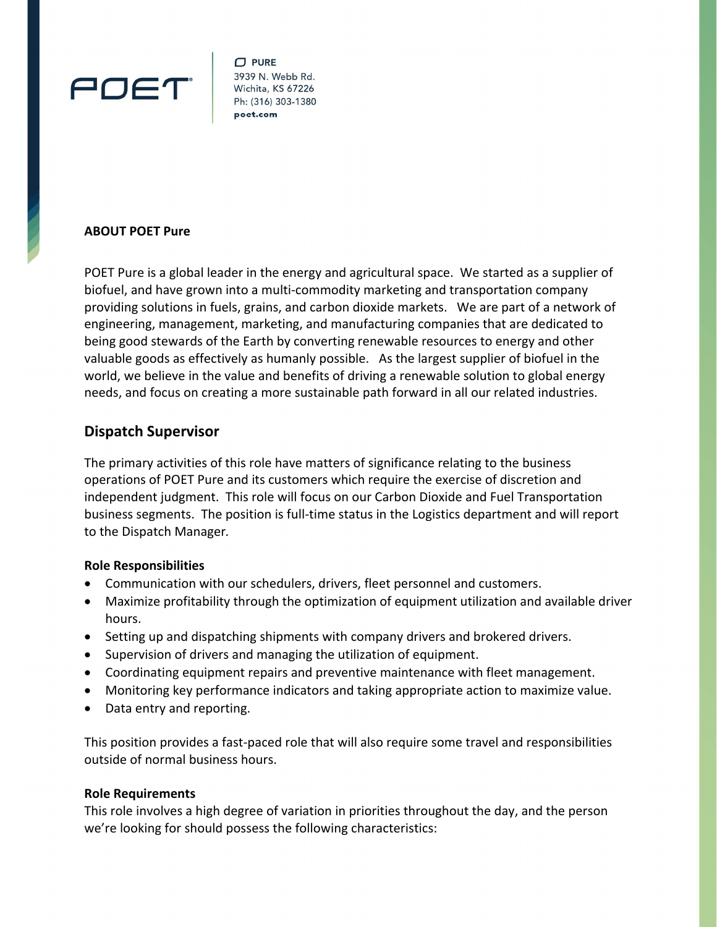

 $\Box$  PURE 3939 N. Webb Rd. Wichita, KS 67226 Ph: (316) 303-1380

## **ABOUT POET Pure**

POET Pure is a global leader in the energy and agricultural space. We started as a supplier of biofuel, and have grown into a multi‐commodity marketing and transportation company providing solutions in fuels, grains, and carbon dioxide markets. We are part of a network of engineering, management, marketing, and manufacturing companies that are dedicated to being good stewards of the Earth by converting renewable resources to energy and other valuable goods as effectively as humanly possible. As the largest supplier of biofuel in the world, we believe in the value and benefits of driving a renewable solution to global energy needs, and focus on creating a more sustainable path forward in all our related industries.

# **Dispatch Supervisor**

The primary activities of this role have matters of significance relating to the business operations of POET Pure and its customers which require the exercise of discretion and independent judgment. This role will focus on our Carbon Dioxide and Fuel Transportation business segments. The position is full-time status in the Logistics department and will report to the Dispatch Manager*.* 

### **Role Responsibilities**

- Communication with our schedulers, drivers, fleet personnel and customers.
- Maximize profitability through the optimization of equipment utilization and available driver hours.
- Setting up and dispatching shipments with company drivers and brokered drivers.
- Supervision of drivers and managing the utilization of equipment.
- Coordinating equipment repairs and preventive maintenance with fleet management.
- Monitoring key performance indicators and taking appropriate action to maximize value.
- Data entry and reporting.

This position provides a fast‐paced role that will also require some travel and responsibilities outside of normal business hours.

### **Role Requirements**

This role involves a high degree of variation in priorities throughout the day, and the person we're looking for should possess the following characteristics: